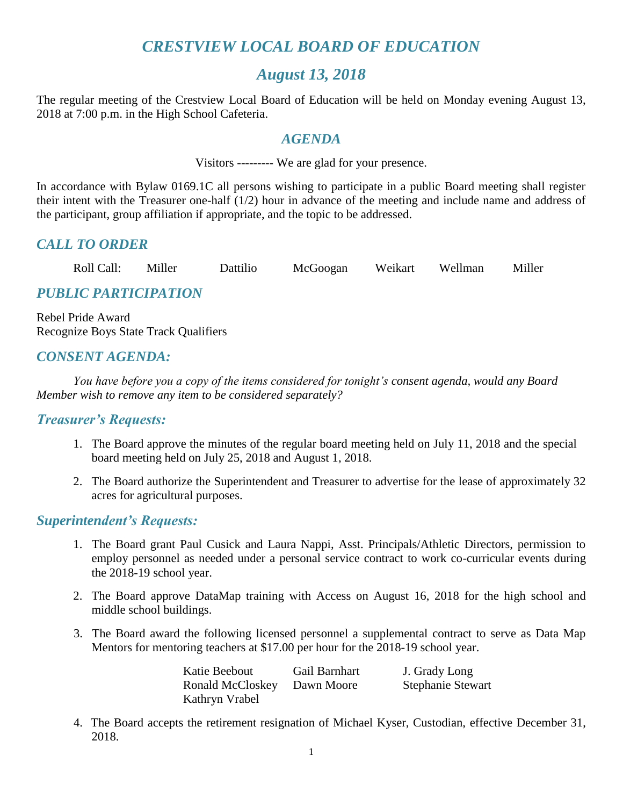# *CRESTVIEW LOCAL BOARD OF EDUCATION*

## *August 13, 2018*

The regular meeting of the Crestview Local Board of Education will be held on Monday evening August 13, 2018 at 7:00 p.m. in the High School Cafeteria.

#### *AGENDA*

Visitors --------- We are glad for your presence.

In accordance with Bylaw 0169.1C all persons wishing to participate in a public Board meeting shall register their intent with the Treasurer one-half (1/2) hour in advance of the meeting and include name and address of the participant, group affiliation if appropriate, and the topic to be addressed.

## *CALL TO ORDER*

| Roll Call: | Miller | Dattilio | McGoogan | Weikart | Wellman | Miller |
|------------|--------|----------|----------|---------|---------|--------|
|            |        |          |          |         |         |        |

# *PUBLIC PARTICIPATION*

Rebel Pride Award Recognize Boys State Track Qualifiers

## *CONSENT AGENDA:*

*You have before you a copy of the items considered for tonight's consent agenda, would any Board Member wish to remove any item to be considered separately?*

#### *Treasurer's Requests:*

- 1. The Board approve the minutes of the regular board meeting held on July 11, 2018 and the special board meeting held on July 25, 2018 and August 1, 2018.
- 2. The Board authorize the Superintendent and Treasurer to advertise for the lease of approximately 32 acres for agricultural purposes.

#### *Superintendent's Requests:*

- 1. The Board grant Paul Cusick and Laura Nappi, Asst. Principals/Athletic Directors, permission to employ personnel as needed under a personal service contract to work co-curricular events during the 2018-19 school year.
- 2. The Board approve DataMap training with Access on August 16, 2018 for the high school and middle school buildings.
- 3. The Board award the following licensed personnel a supplemental contract to serve as Data Map Mentors for mentoring teachers at \$17.00 per hour for the 2018-19 school year.

| Katie Beebout    | Gail Barnhart | J. Grady Long            |
|------------------|---------------|--------------------------|
| Ronald McCloskey | Dawn Moore    | <b>Stephanie Stewart</b> |
| Kathryn Vrabel   |               |                          |

 4. The Board accepts the retirement resignation of Michael Kyser, Custodian, effective December 31, 2018.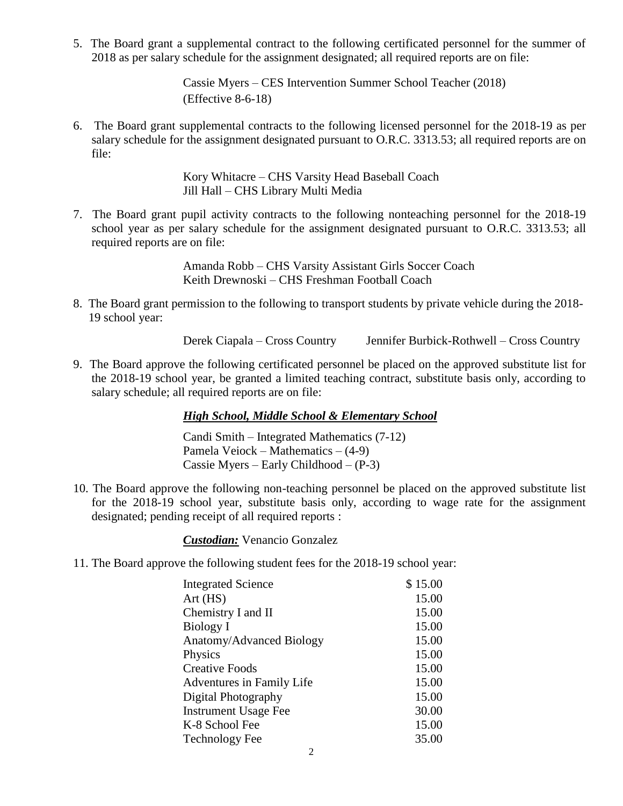5. The Board grant a supplemental contract to the following certificated personnel for the summer of 2018 as per salary schedule for the assignment designated; all required reports are on file:

> Cassie Myers – CES Intervention Summer School Teacher (2018) (Effective 8-6-18)

6. The Board grant supplemental contracts to the following licensed personnel for the 2018-19 as per salary schedule for the assignment designated pursuant to O.R.C. 3313.53; all required reports are on file:

> Kory Whitacre – CHS Varsity Head Baseball Coach Jill Hall – CHS Library Multi Media

7. The Board grant pupil activity contracts to the following nonteaching personnel for the 2018-19 school year as per salary schedule for the assignment designated pursuant to O.R.C. 3313.53; all required reports are on file:

> Amanda Robb – CHS Varsity Assistant Girls Soccer Coach Keith Drewnoski – CHS Freshman Football Coach

8. The Board grant permission to the following to transport students by private vehicle during the 2018- 19 school year:

Derek Ciapala – Cross Country Jennifer Burbick-Rothwell – Cross Country

9. The Board approve the following certificated personnel be placed on the approved substitute list for the 2018-19 school year, be granted a limited teaching contract, substitute basis only, according to salary schedule; all required reports are on file:

#### *High School, Middle School & Elementary School*

Candi Smith – Integrated Mathematics (7-12) Pamela Veiock – Mathematics – (4-9) Cassie Myers – Early Childhood – (P-3)

10. The Board approve the following non-teaching personnel be placed on the approved substitute list for the 2018-19 school year, substitute basis only, according to wage rate for the assignment designated; pending receipt of all required reports :

*Custodian:* Venancio Gonzalez

11. The Board approve the following student fees for the 2018-19 school year:

| <b>Integrated Science</b>   | \$15.00 |  |
|-----------------------------|---------|--|
| Art(HS)                     | 15.00   |  |
| Chemistry I and II          | 15.00   |  |
| Biology I                   | 15.00   |  |
| Anatomy/Advanced Biology    | 15.00   |  |
| Physics                     | 15.00   |  |
| <b>Creative Foods</b>       | 15.00   |  |
| Adventures in Family Life   | 15.00   |  |
| Digital Photography         | 15.00   |  |
| <b>Instrument Usage Fee</b> | 30.00   |  |
| K-8 School Fee              | 15.00   |  |
| <b>Technology Fee</b>       | 35.00   |  |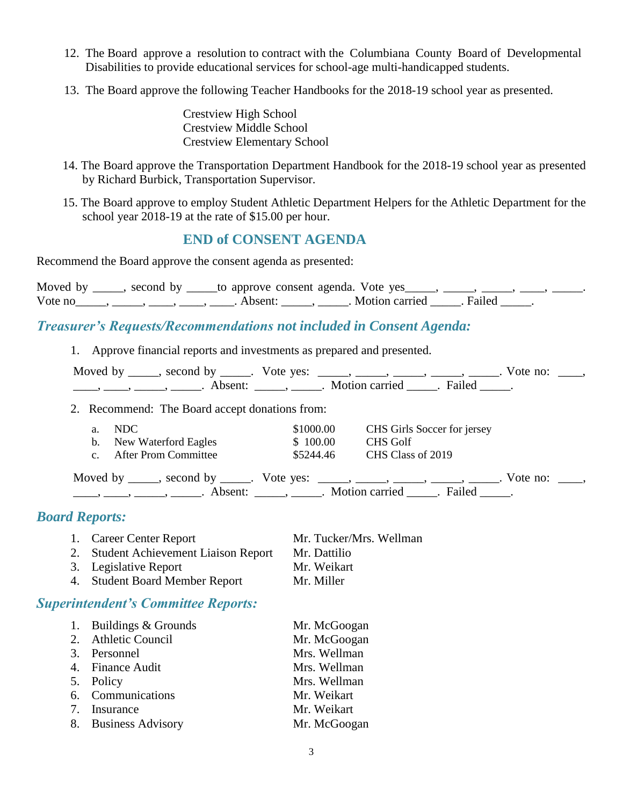- 12. The Board approve a resolution to contract with the Columbiana County Board of Developmental Disabilities to provide educational services for school-age multi-handicapped students.
- 13. The Board approve the following Teacher Handbooks for the 2018-19 school year as presented.

Crestview High School Crestview Middle School Crestview Elementary School

- 14. The Board approve the Transportation Department Handbook for the 2018-19 school year as presented by Richard Burbick, Transportation Supervisor.
- 15. The Board approve to employ Student Athletic Department Helpers for the Athletic Department for the school year 2018-19 at the rate of \$15.00 per hour.

## **END of CONSENT AGENDA**

Recommend the Board approve the consent agenda as presented:

Moved by \_\_\_\_, second by \_\_\_\_to approve consent agenda. Vote yes \_\_\_\_, \_\_\_\_, \_\_\_\_, \_\_\_\_, \_\_\_\_\_, Vote no $\underline{\hspace{1cm}}$ ,  $\underline{\hspace{1cm}}$ ,  $\underline{\hspace{1cm}}$ ,  $\underline{\hspace{1cm}}$ ,  $\underline{\hspace{1cm}}$ ,  $\underline{\hspace{1cm}}$ ,  $\underline{\hspace{1cm}}$ ,  $\underline{\hspace{1cm}}$ ,  $\underline{\hspace{1cm}}$ ,  $\underline{\hspace{1cm}}$ ,  $\underline{\hspace{1cm}}$ ,  $\underline{\hspace{1cm}}$ ,  $\underline{\hspace{1cm}}$ ,  $\underline{\hspace{1cm}}$ ,  $\underline{\hspace{1cm}}$ ,  $\underline$ 

#### *Treasurer's Requests/Recommendations not included in Consent Agenda:*

1. Approve financial reports and investments as prepared and presented.

| Moved by | second by | Vote yes: |                       |                     | 'ote.<br>no: |  |
|----------|-----------|-----------|-----------------------|---------------------|--------------|--|
|          |           |           | <b>Motion carried</b> | Failec <sup>1</sup> |              |  |

2. Recommend: The Board accept donations from:

| NDC<br>b. New Waterford Eagles<br><b>After Prom Committee</b>                 | \$1000.00<br>\$100.00<br>\$5244.46          | CHS Girls Soccer for jersey<br>CHS Golf<br>CHS Class of 2019 |                  |  |
|-------------------------------------------------------------------------------|---------------------------------------------|--------------------------------------------------------------|------------------|--|
| Moved by _____, second by _____. Vote yes: _____, _____, _____, _____, ______ | Absent: ______, ______. Motion carried ____ | Failed                                                       | Vote no: $\_\_\$ |  |

#### *Board Reports:*

1. Career Center Report Mr. Tucker/Mrs. Wellman 2. Student Achievement Liaison Report Mr. Dattilio 3. Legislative Report Mr. Weikart 4. Student Board Member Report Mr. Miller

#### *Superintendent's Committee Reports:*

| 1. Buildings & Grounds | Mr. McGoogan |
|------------------------|--------------|
| 2. Athletic Council    | Mr. McGoogan |
| 3. Personnel           | Mrs. Wellman |
| 4. Finance Audit       | Mrs. Wellman |
| 5. Policy              | Mrs. Wellman |
| 6. Communications      | Mr. Weikart  |
| 7. Insurance           | Mr. Weikart  |
| 8. Business Advisory   | Mr. McGoogan |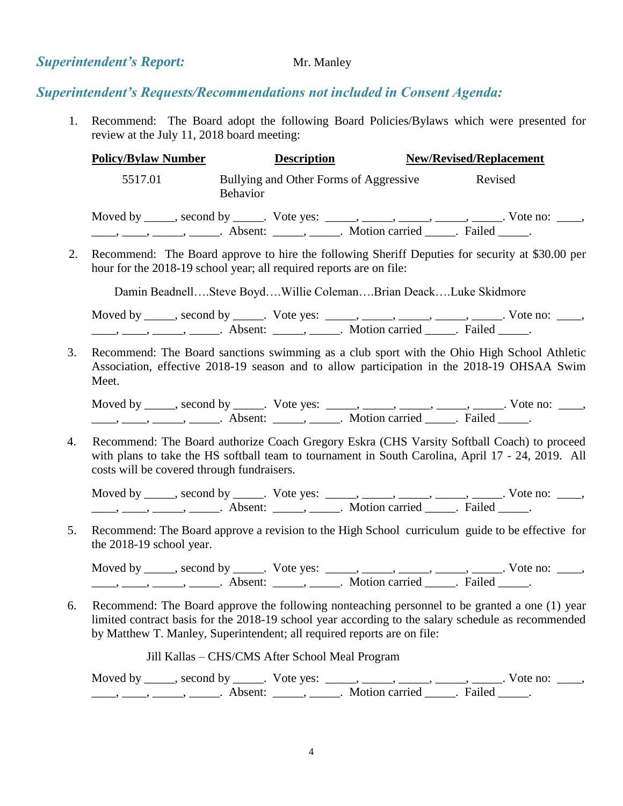#### **Superintendent's Report:** Mr. Manley

#### *Superintendent's Requests/Recommendations not included in Consent Agenda:*

1. Recommend: The Board adopt the following Board Policies/Bylaws which were presented for review at the July 11, 2018 board meeting:

| <b>Policy/Bylaw Number</b> | <b>Description</b>                                                                                                                                                                                                                                                                                                                                                                                                          | <b>New/Revised/Replacement</b>                                                                  |
|----------------------------|-----------------------------------------------------------------------------------------------------------------------------------------------------------------------------------------------------------------------------------------------------------------------------------------------------------------------------------------------------------------------------------------------------------------------------|-------------------------------------------------------------------------------------------------|
| 5517.01                    | Bullying and Other Forms of Aggressive<br><b>Behavior</b>                                                                                                                                                                                                                                                                                                                                                                   | Revised                                                                                         |
|                            | $\frac{1}{1}, \frac{1}{1}, \frac{1}{1}, \frac{1}{1}, \frac{1}{1}, \frac{1}{1}, \frac{1}{1}, \frac{1}{1}, \frac{1}{1}, \frac{1}{1}, \frac{1}{1}, \frac{1}{1}, \frac{1}{1}, \frac{1}{1}, \frac{1}{1}, \frac{1}{1}, \frac{1}{1}, \frac{1}{1}, \frac{1}{1}, \frac{1}{1}, \frac{1}{1}, \frac{1}{1}, \frac{1}{1}, \frac{1}{1}, \frac{1}{1}, \frac{1}{1}, \frac{1}{1}, \frac{1}{1}, \frac{1}{1}, \frac{1}{1}, \frac{1}{1}, \frac{$ | Moved by _____, second by _____. Vote yes: _____, _____, _____, _____, _____. Vote no: ____,    |
|                            | hour for the 2018-19 school year; all required reports are on file:                                                                                                                                                                                                                                                                                                                                                         | Recommend: The Board approve to hire the following Sheriff Deputies for security at \$30.00 per |
|                            | Damin BeadnellSteve BoydWillie ColemanBrian DeackLuke Skidmore                                                                                                                                                                                                                                                                                                                                                              |                                                                                                 |

Moved by \_\_\_\_\_, second by \_\_\_\_\_. Vote yes: \_\_\_\_\_, \_\_\_\_\_, \_\_\_\_\_, \_\_\_\_\_, \_\_\_\_\_. Vote no: \_\_\_\_,  $\underline{\phantom{a}}$ ,  $\underline{\phantom{a}}$ ,  $\underline{\phantom{a}}$ ,  $\underline{\phantom{a}}$ ,  $\underline{\phantom{a}}$ ,  $\underline{\phantom{a}}$ ,  $\underline{\phantom{a}}$ ,  $\underline{\phantom{a}}$ ,  $\underline{\phantom{a}}$ ,  $\underline{\phantom{a}}$ ,  $\underline{\phantom{a}}$ ,  $\underline{\phantom{a}}$ ,  $\underline{\phantom{a}}$ ,  $\underline{\phantom{a}}$ ,  $\underline{\phantom{a}}$ ,  $\underline{\phantom{a}}$ ,  $\underline{\phantom{a}}$ ,

3. Recommend: The Board sanctions swimming as a club sport with the Ohio High School Athletic Association, effective 2018-19 season and to allow participation in the 2018-19 OHSAA Swim Meet.

Moved by \_\_\_\_\_, second by \_\_\_\_\_. Vote yes: \_\_\_\_\_, \_\_\_\_\_, \_\_\_\_\_, \_\_\_\_\_, \_\_\_\_\_. Vote no: \_\_\_\_, \_\_\_\_\_, \_\_\_\_\_\_, \_\_\_\_\_\_\_. Absent: \_\_\_\_\_\_, \_\_\_\_\_\_. Motion carried \_\_\_\_. Failed \_\_\_\_.

4. Recommend: The Board authorize Coach Gregory Eskra (CHS Varsity Softball Coach) to proceed with plans to take the HS softball team to tournament in South Carolina, April 17 - 24, 2019. All costs will be covered through fundraisers.

Moved by \_\_\_\_\_, second by \_\_\_\_\_. Vote yes: \_\_\_\_\_, \_\_\_\_\_, \_\_\_\_\_, \_\_\_\_\_, \_\_\_\_\_. Vote no: \_\_\_\_,  $\underline{\phantom{a}}$ ,  $\underline{\phantom{a}}$ ,  $\underline{\phantom{a}}$ ,  $\underline{\phantom{a}}$ ,  $\underline{\phantom{a}}$  Absent:  $\underline{\phantom{a}}$ ,  $\underline{\phantom{a}}$ ,  $\underline{\phantom{a}}$  Motion carried  $\underline{\phantom{a}}$ . Failed  $\underline{\phantom{a}}$ .

5. Recommend: The Board approve a revision to the High School curriculum guide to be effective for the 2018-19 school year.

Moved by \_\_\_\_\_, second by \_\_\_\_\_. Vote yes:  $\frac{1}{\sqrt{2}}$ , \_\_\_\_, \_\_\_\_, \_\_\_\_, \_\_\_\_. Vote no: \_\_\_, \_\_\_\_, \_\_\_\_\_, \_\_\_\_\_\_, Absent: \_\_\_\_\_, \_\_\_\_\_. Motion carried \_\_\_\_\_. Failed \_\_\_\_\_.

6. Recommend: The Board approve the following nonteaching personnel to be granted a one (1) year limited contract basis for the 2018-19 school year according to the salary schedule as recommended by Matthew T. Manley, Superintendent; all required reports are on file:

Jill Kallas – CHS/CMS After School Meal Program

Moved by \_\_\_\_\_, second by \_\_\_\_\_. Vote yes: \_\_\_\_\_, \_\_\_\_\_, \_\_\_\_\_, \_\_\_\_\_, \_\_\_\_\_. Vote no: \_\_\_\_, ——, ——, ——, Absent: \_\_\_\_, \_\_\_\_\_. Motion carried \_\_\_\_\_. Failed \_\_\_\_.